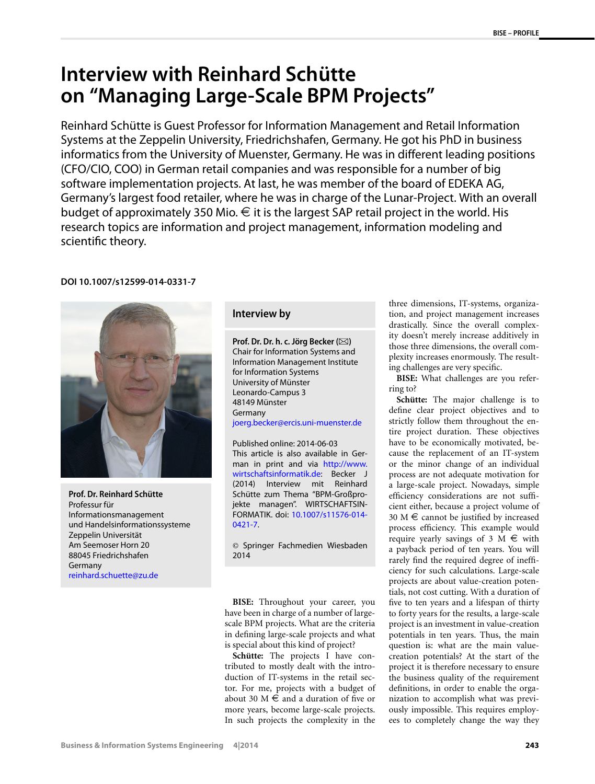## **Interview with Reinhard Schütte on "Managing Large-Scale BPM Projects"**

Reinhard Schütte is Guest Professor for Information Management and Retail Information Systems at the Zeppelin University, Friedrichshafen, Germany. He got his PhD in business informatics from the University of Muenster, Germany. He was in different leading positions (CFO/CIO, COO) in German retail companies and was responsible for a number of big software implementation projects. At last, he was member of the board of EDEKA AG, Germany's largest food retailer, where he was in charge of the Lunar-Project. With an overall budget of approximately 350 Mio.  $\epsilon$  it is the largest SAP retail project in the world. His research topics are information and project management, information modeling and scientific theory.

## **DOI 10.1007/s12599-014-0331-7**



**Prof. Dr. Reinhard Schütte** Professur für Informationsmanagement und Handelsinformationssysteme Zeppelin Universität Am Seemoser Horn 20 88045 Friedrichshafen Germany [reinhard.schuette@zu.de](mailto:reinhard.schuette@zu.de)

## **Interview by**

**Prof. Dr. Dr. h. c. Jörg Becker (**-**)** Chair for Information Systems and Information Management Institute for Information Systems University of Münster Leonardo-Campus 3 48149 Münster Germany [joerg.becker@ercis.uni-muenster.de](mailto:joerg.becker@ercis.uni-muenster.de)

Published online: 2014-06-03 This article is also available in German in print and via [http://www.](http://www.wirtschaftsinformatik.de) [wirtschaftsinformatik.de:](http://www.wirtschaftsinformatik.de) Becker J (2014) Interview mit Reinhard Schütte zum Thema "BPM-Großprojekte managen". WIRTSCHAFTSIN-FORMATIK. doi: [10.1007/s11576-014-](http://dx.doi.org/10.1007/s11576-014-0421-7) [0421-7.](http://dx.doi.org/10.1007/s11576-014-0421-7)

© Springer Fachmedien Wiesbaden 2014

**BISE:** Throughout your career, you have been in charge of a number of largescale BPM projects. What are the criteria in defining large-scale projects and what is special about this kind of project?

**Schütte:** The projects I have contributed to mostly dealt with the introduction of IT-systems in the retail sector. For me, projects with a budget of about 30 M  $\in$  and a duration of five or more years, become large-scale projects. In such projects the complexity in the three dimensions, IT-systems, organization, and project management increases drastically. Since the overall complexity doesn't merely increase additively in those three dimensions, the overall complexity increases enormously. The resulting challenges are very specific.

**BISE:** What challenges are you referring to?

**Schütte:** The major challenge is to define clear project objectives and to strictly follow them throughout the entire project duration. These objectives have to be economically motivated, because the replacement of an IT-system or the minor change of an individual process are not adequate motivation for a large-scale project. Nowadays, simple efficiency considerations are not sufficient either, because a project volume of 30 M  $\in$  cannot be justified by increased process efficiency. This example would require yearly savings of 3 M  $\in$  with a payback period of ten years. You will rarely find the required degree of inefficiency for such calculations. Large-scale projects are about value-creation potentials, not cost cutting. With a duration of five to ten years and a lifespan of thirty to forty years for the results, a large-scale project is an investment in value-creation potentials in ten years. Thus, the main question is: what are the main valuecreation potentials? At the start of the project it is therefore necessary to ensure the business quality of the requirement definitions, in order to enable the organization to accomplish what was previously impossible. This requires employees to completely change the way they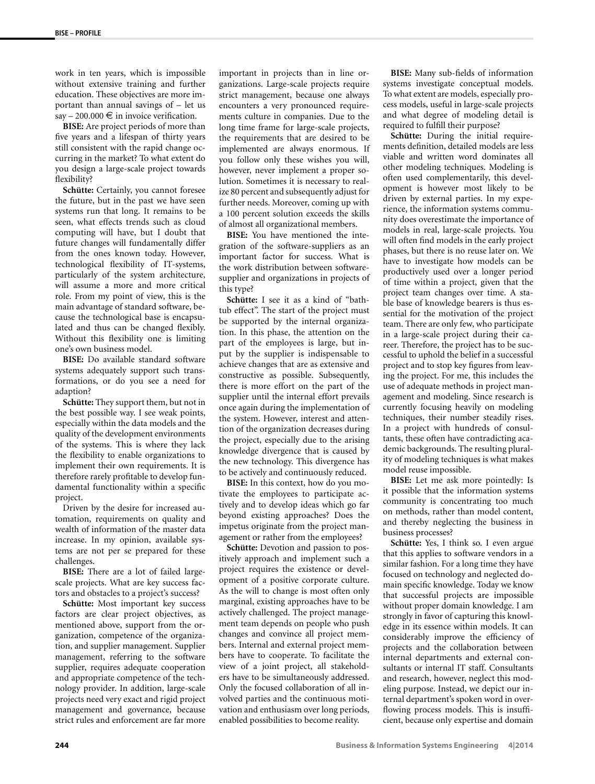work in ten years, which is impossible without extensive training and further education. These objectives are more important than annual savings of – let us  $sav - 200.000 \in \text{in}$  in invoice verification.

**BISE:** Are project periods of more than five years and a lifespan of thirty years still consistent with the rapid change occurring in the market? To what extent do you design a large-scale project towards flexibility?

**Schütte:** Certainly, you cannot foresee the future, but in the past we have seen systems run that long. It remains to be seen, what effects trends such as cloud computing will have, but I doubt that future changes will fundamentally differ from the ones known today. However, technological flexibility of IT-systems, particularly of the system architecture, will assume a more and more critical role. From my point of view, this is the main advantage of standard software, because the technological base is encapsulated and thus can be changed flexibly. Without this flexibility one is limiting one's own business model.

**BISE:** Do available standard software systems adequately support such transformations, or do you see a need for adaption?

**Schütte:** They support them, but not in the best possible way. I see weak points, especially within the data models and the quality of the development environments of the systems. This is where they lack the flexibility to enable organizations to implement their own requirements. It is therefore rarely profitable to develop fundamental functionality within a specific project.

Driven by the desire for increased automation, requirements on quality and wealth of information of the master data increase. In my opinion, available systems are not per se prepared for these challenges.

**BISE:** There are a lot of failed largescale projects. What are key success factors and obstacles to a project's success?

**Schütte:** Most important key success factors are clear project objectives, as mentioned above, support from the organization, competence of the organization, and supplier management. Supplier management, referring to the software supplier, requires adequate cooperation and appropriate competence of the technology provider. In addition, large-scale projects need very exact and rigid project management and governance, because strict rules and enforcement are far more

important in projects than in line organizations. Large-scale projects require strict management, because one always encounters a very pronounced requirements culture in companies. Due to the long time frame for large-scale projects, the requirements that are desired to be implemented are always enormous. If you follow only these wishes you will, however, never implement a proper solution. Sometimes it is necessary to realize 80 percent and subsequently adjust for further needs. Moreover, coming up with a 100 percent solution exceeds the skills of almost all organizational members.

**BISE:** You have mentioned the integration of the software-suppliers as an important factor for success. What is the work distribution between softwaresupplier and organizations in projects of this type?

**Schütte:** I see it as a kind of "bathtub effect". The start of the project must be supported by the internal organization. In this phase, the attention on the part of the employees is large, but input by the supplier is indispensable to achieve changes that are as extensive and constructive as possible. Subsequently, there is more effort on the part of the supplier until the internal effort prevails once again during the implementation of the system. However, interest and attention of the organization decreases during the project, especially due to the arising knowledge divergence that is caused by the new technology. This divergence has to be actively and continuously reduced.

**BISE:** In this context, how do you motivate the employees to participate actively and to develop ideas which go far beyond existing approaches? Does the impetus originate from the project management or rather from the employees?

**Schütte:** Devotion and passion to positively approach and implement such a project requires the existence or development of a positive corporate culture. As the will to change is most often only marginal, existing approaches have to be actively challenged. The project management team depends on people who push changes and convince all project members. Internal and external project members have to cooperate. To facilitate the view of a joint project, all stakeholders have to be simultaneously addressed. Only the focused collaboration of all involved parties and the continuous motivation and enthusiasm over long periods, enabled possibilities to become reality.

**BISE:** Many sub-fields of information systems investigate conceptual models. To what extent are models, especially process models, useful in large-scale projects and what degree of modeling detail is required to fulfill their purpose?

**Schütte:** During the initial requirements definition, detailed models are less viable and written word dominates all other modeling techniques. Modeling is often used complementarily, this development is however most likely to be driven by external parties. In my experience, the information systems community does overestimate the importance of models in real, large-scale projects. You will often find models in the early project phases, but there is no reuse later on. We have to investigate how models can be productively used over a longer period of time within a project, given that the project team changes over time. A stable base of knowledge bearers is thus essential for the motivation of the project team. There are only few, who participate in a large-scale project during their career. Therefore, the project has to be successful to uphold the belief in a successful project and to stop key figures from leaving the project. For me, this includes the use of adequate methods in project management and modeling. Since research is currently focusing heavily on modeling techniques, their number steadily rises. In a project with hundreds of consultants, these often have contradicting academic backgrounds. The resulting plurality of modeling techniques is what makes model reuse impossible.

**BISE:** Let me ask more pointedly: Is it possible that the information systems community is concentrating too much on methods, rather than model content, and thereby neglecting the business in business processes?

**Schütte:** Yes, I think so. I even argue that this applies to software vendors in a similar fashion. For a long time they have focused on technology and neglected domain specific knowledge. Today we know that successful projects are impossible without proper domain knowledge. I am strongly in favor of capturing this knowledge in its essence within models. It can considerably improve the efficiency of projects and the collaboration between internal departments and external consultants or internal IT staff. Consultants and research, however, neglect this modeling purpose. Instead, we depict our internal department's spoken word in overflowing process models. This is insufficient, because only expertise and domain